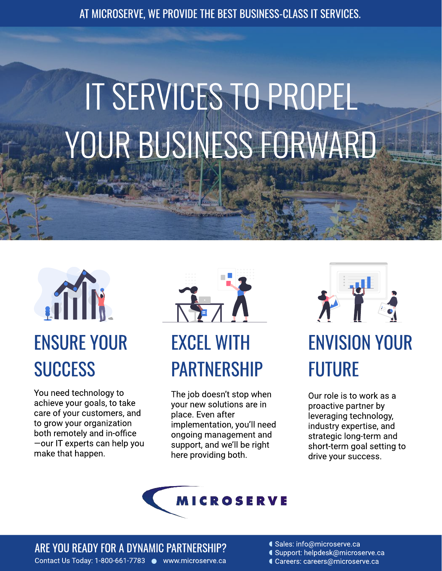AT MICROSERVE, WE PROVIDE THE BEST BUSINESS-CLASS IT SERVICES.

# IT SERVICES TO PROPEL YOUR BUSINESS FORWARD



You need technology to achieve your goals, to take care of your customers, and to grow your organization both remotely and in-office —our IT experts can help you make that happen.



The job doesn't stop when your new solutions are in place. Even after implementation, you'll need ongoing management and support, and we'll be right here providing both.



# ENVISION YOUR FUTURE

Our role is to work as a proactive partner by leveraging technology, industry expertise, and strategic long-term and short-term goal setting to drive your success.



ARE YOU READY FOR A DYNAMIC PARTNERSHIP?

Contact Us Today: 1-800-661-7783 ● www.microserve.ca Careers: careers@microserve.ca

Sales: info@microserve.ca

- Support: helpdesk@microserve.ca
-